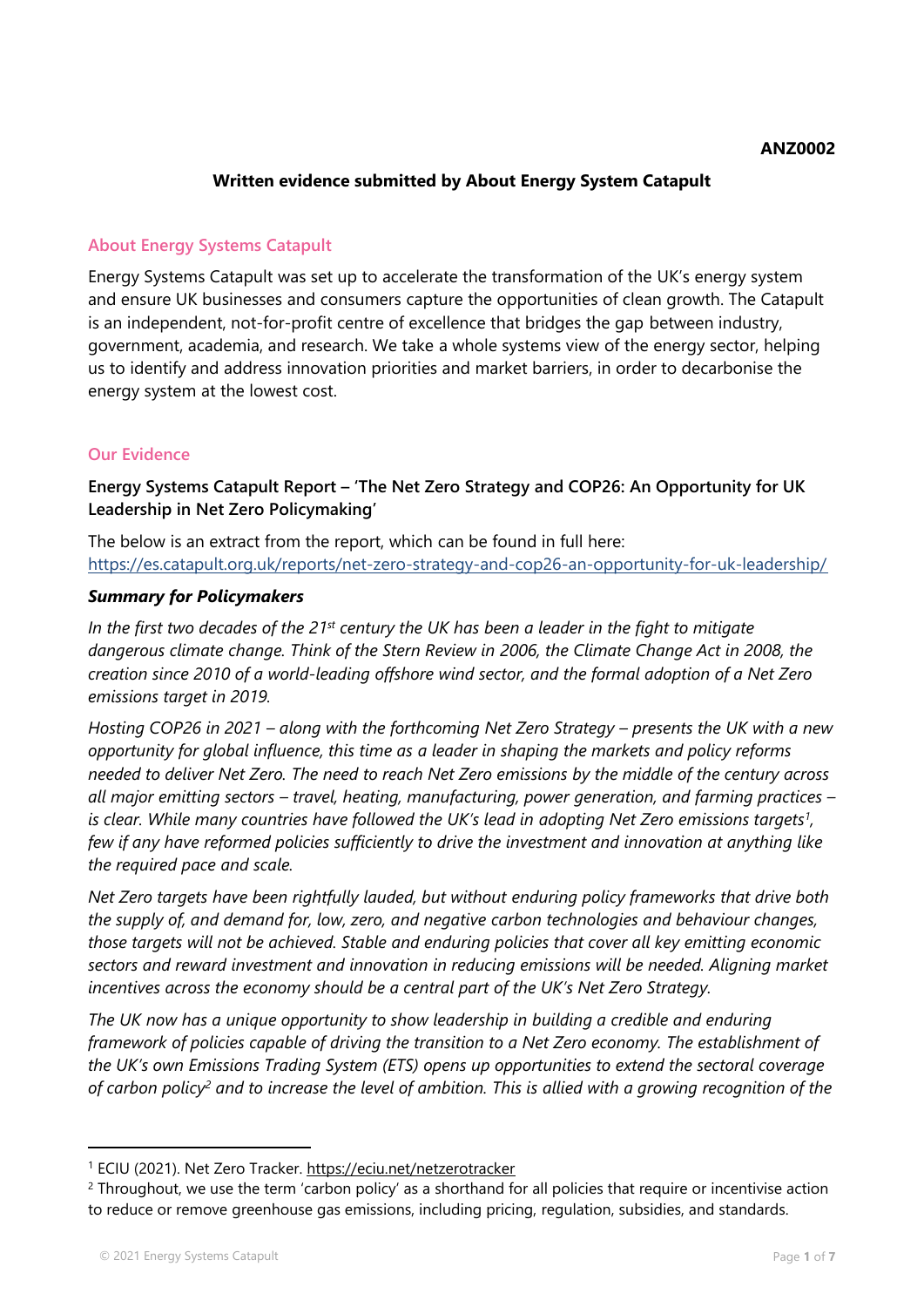#### **ANZ0002**

### **Written evidence submitted by About Energy System Catapult**

## **About Energy Systems Catapult**

Energy Systems Catapult was set up to accelerate the transformation of the UK's energy system and ensure UK businesses and consumers capture the opportunities of clean growth. The Catapult is an independent, not-for-profit centre of excellence that bridges the gap between industry, government, academia, and research. We take a whole systems view of the energy sector, helping us to identify and address innovation priorities and market barriers, in order to decarbonise the energy system at the lowest cost.

## **Our Evidence**

**Energy Systems Catapult Report – 'The Net Zero Strategy and COP26: An Opportunity for UK Leadership in Net Zero Policymaking'**

The below is an extract from the report, which can be found in full here: <https://es.catapult.org.uk/reports/net-zero-strategy-and-cop26-an-opportunity-for-uk-leadership/>

#### *Summary for Policymakers*

In the first two decades of the  $21^{st}$  century the UK has been a leader in the fight to mitigate *dangerous climate change. Think of the Stern Review in 2006, the Climate Change Act in 2008, the creation since 2010 of a world-leading offshore wind sector, and the formal adoption of a Net Zero emissions target in 2019.*

Hosting COP26 in 2021 – along with the forthcoming Net Zero Strategy – presents the UK with a new *opportunity for global influence, this time as a leader in shaping the markets and policy reforms* needed to deliver Net Zero. The need to reach Net Zero emissions by the middle of the century across *all major emitting sectors – travel, heating, manufacturing, power generation, and farming practices –* is clear. While many countries have followed the UK's lead in adopting Net Zero emissions targets<sup>1</sup>, *few if any have reformed policies sufficiently to drive the investment and innovation at anything like the required pace and scale.*

*Net Zero targets have been rightfully lauded, but without enduring policy frameworks that drive both the supply of, and demand for, low, zero, and negative carbon technologies and behaviour changes, those targets will not be achieved. Stable and enduring policies that cover all key emitting economic sectors and reward investment and innovation in reducing emissions will be needed. Aligning market incentives across the economy should be a central part of the UK's Net Zero Strategy.*

*The UK now has a unique opportunity to show leadership in building a credible and enduring framework of policies capable of driving the transition to a Net Zero economy. The establishment of the UK's own Emissions Trading System (ETS) opens up opportunities to extend the sectoral coverage* of carbon policy<sup>2</sup> and to increase the level of ambition. This is allied with a growing recognition of the

<sup>1</sup> ECIU (2021). Net Zero Tracker. <https://eciu.net/netzerotracker>

<sup>&</sup>lt;sup>2</sup> Throughout, we use the term 'carbon policy' as a shorthand for all policies that require or incentivise action to reduce or remove greenhouse gas emissions, including pricing, regulation, subsidies, and standards.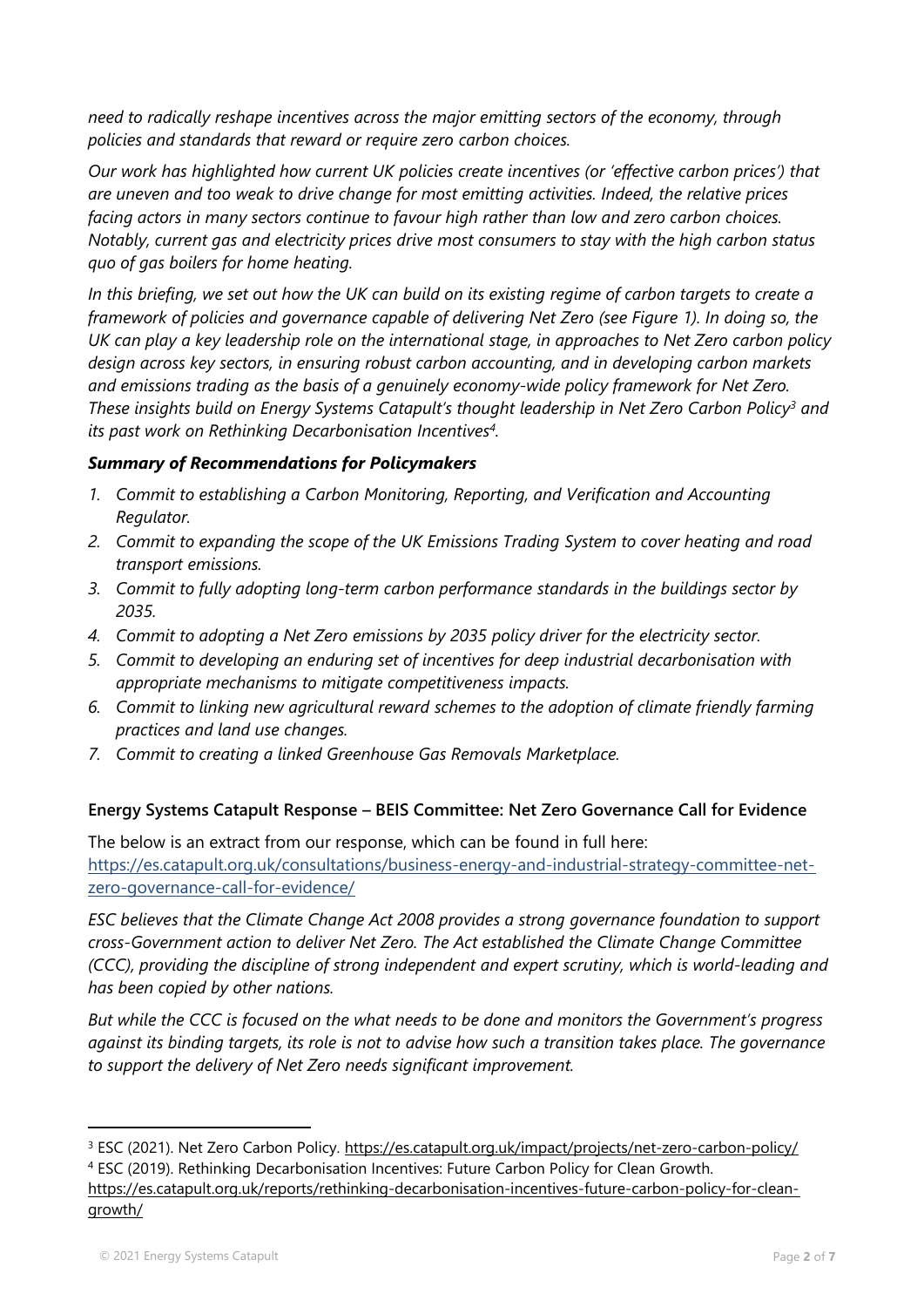*need to radically reshape incentives across the major emitting sectors of the economy, through policies and standards that reward or require zero carbon choices.*

*Our work has highlighted how current UK policies create incentives (or 'effective carbon prices') that are uneven and too weak to drive change for most emitting activities. Indeed, the relative prices facing actors in many sectors continue to favour high rather than low and zero carbon choices. Notably, current gas and electricity prices drive most consumers to stay with the high carbon status quo of gas boilers for home heating.*

In this briefing, we set out how the UK can build on its existing regime of carbon targets to create a framework of policies and governance capable of delivering Net Zero (see [Figure](#page-6-0) [1\)](#page-6-0). In doing so, the UK can play a key leadership role on the international stage, in approaches to Net Zero carbon policy *design across key sectors, in ensuring robust carbon accounting, and in developing carbon markets and emissions trading as the basis of a genuinely economy-wide policy framework for Net Zero. These insights build on Energy Systems Catapult's thought leadership in Net Zero Carbon Policy<sup>3</sup> and its past work on Rethinking Decarbonisation Incentives<sup>4</sup> .*

# *Summary of Recommendations for Policymakers*

- *1. Commit to establishing a Carbon Monitoring, Reporting, and Verification and Accounting Regulator.*
- *2. Commit to expanding the scope of the UK Emissions Trading System to cover heating and road transport emissions.*
- *3. Commit to fully adopting long-term carbon performance standards in the buildings sector by 2035.*
- *4. Commit to adopting a Net Zero emissions by 2035 policy driver for the electricity sector.*
- *5. Commit to developing an enduring set of incentives for deep industrial decarbonisation with appropriate mechanisms to mitigate competitiveness impacts.*
- *6. Commit to linking new agricultural reward schemes to the adoption of climate friendly farming practices and land use changes.*
- *7. Commit to creating a linked Greenhouse Gas Removals Marketplace.*

#### **Energy Systems Catapult Response – BEIS Committee: Net Zero Governance Call for Evidence**

The below is an extract from our response, which can be found in full here: [https://es.catapult.org.uk/consultations/business-energy-and-industrial-strategy-committee-net](https://es.catapult.org.uk/consultations/business-energy-and-industrial-strategy-committee-net-zero-governance-call-for-evidence/)[zero-governance-call-for-evidence/](https://es.catapult.org.uk/consultations/business-energy-and-industrial-strategy-committee-net-zero-governance-call-for-evidence/)

*ESC believes that the Climate Change Act 2008 provides a strong governance foundation to support cross-Government action to deliver Net Zero. The Act established the Climate Change Committee (CCC), providing the discipline of strong independent and expert scrutiny, which is world-leading and has been copied by other nations.*

*But while the CCC is focused on the what needs to be done and monitors the Government's progress* against its binding targets, its role is not to advise how such a transition takes place. The governance *to support the delivery of Net Zero needs significant improvement.*

<sup>&</sup>lt;sup>3</sup> ESC (2021). Net Zero Carbon Policy. <https://es.catapult.org.uk/impact/projects/net-zero-carbon-policy/> <sup>4</sup> ESC (2019). Rethinking Decarbonisation Incentives: Future Carbon Policy for Clean Growth.

[https://es.catapult.org.uk/reports/rethinking-decarbonisation-incentives-future-carbon-policy-for-clean](https://es.catapult.org.uk/reports/rethinking-decarbonisation-incentives-future-carbon-policy-for-clean-growth/)[growth/](https://es.catapult.org.uk/reports/rethinking-decarbonisation-incentives-future-carbon-policy-for-clean-growth/)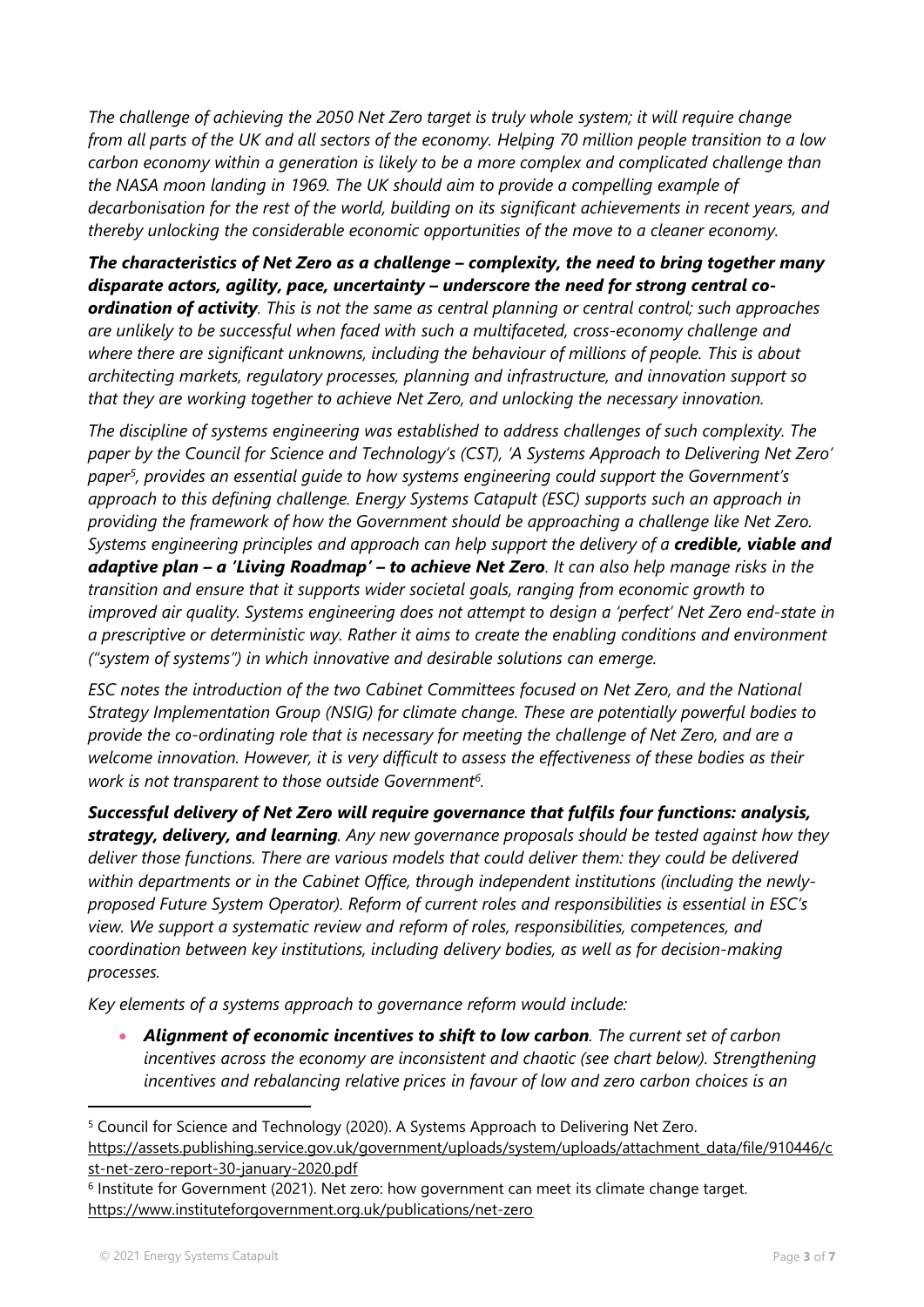*The challenge of achieving the 2050 Net Zero target is truly whole system; it will require change* from all parts of the UK and all sectors of the economy. Helping 70 million people transition to a low *carbon economy within a generation is likely to be a more complex and complicated challenge than the NASA moon landing in 1969. The UK should aim to provide a compelling example of decarbonisation for the rest of the world, building on its significant achievements in recent years, and thereby unlocking the considerable economic opportunities of the move to a cleaner economy.*

*The characteristics of Net Zero as a challenge – complexity, the need to bring together many disparate actors, agility, pace, uncertainty – underscore the need for strong central co-*

*ordination of activity. This is not the same as central planning or central control; such approaches are unlikely to be successful when faced with such a multifaceted, cross-economy challenge and where there are significant unknowns, including the behaviour of millions of people. This is about architecting markets, regulatory processes, planning and infrastructure, and innovation support so that they are working together to achieve Net Zero, and unlocking the necessary innovation.*

*The discipline of systems engineering was established to address challenges of such complexity. The paper by the Council for Science and Technology's (CST), 'A Systems Approach to Delivering Net Zero' paper<sup>5</sup> , provides an essential guide to how systems engineering could support the Government's approach to this defining challenge. Energy Systems Catapult (ESC) supports such an approach in providing the framework of how the Government should be approaching a challenge like Net Zero. Systems engineering principles and approach can help support the delivery of a credible, viable and* adaptive plan - a 'Living Roadmap' - to achieve Net Zero. It can also help manage risks in the *transition and ensure that it supports wider societal goals, ranging from economic growth to improved air quality. Systems engineering does not attempt to design a 'perfect' Net Zero end-state in a prescriptive or deterministic way. Rather it aims to create the enabling conditions and environment ("system of systems") in which innovative and desirable solutions can emerge.*

*ESC notes the introduction of the two Cabinet Committees focused on Net Zero, and the National Strategy Implementation Group (NSIG) for climate change. These are potentially powerful bodies to provide the co-ordinating role that is necessary for meeting the challenge of Net Zero, and are a welcome innovation. However, it is very difficult to assess the effectiveness of these bodies as their work is not transparent to those outside Government<sup>6</sup> .*

*Successful delivery of Net Zero will require governance that fulfils four functions: analysis, strategy, delivery, and learning. Any new governance proposals should be tested against how they deliver those functions. There are various models that could deliver them: they could be delivered within departments or in the Cabinet Office, through independent institutions (including the newlyproposed Future System Operator). Reform of current roles and responsibilities is essential in ESC's view. We support a systematic review and reform of roles, responsibilities, competences, and coordination between key institutions, including delivery bodies, as well as for decision-making processes.*

*Key elements of a systems approach to governance reform would include:*

 *Alignment of economic incentives to shift to low carbon. The current set of carbon incentives across the economy are inconsistent and chaotic (see chart below). Strengthening incentives and rebalancing relative prices in favour of low and zero carbon choices is an*

<sup>5</sup> Council for Science and Technology (2020). A Systems Approach to Delivering Net Zero. [https://assets.publishing.service.gov.uk/government/uploads/system/uploads/attachment\\_data/file/910446/c](https://assets.publishing.service.gov.uk/government/uploads/system/uploads/attachment_data/file/910446/cst-net-zero-report-30-january-2020.pdf) [st-net-zero-report-30-january-2020.pdf](https://assets.publishing.service.gov.uk/government/uploads/system/uploads/attachment_data/file/910446/cst-net-zero-report-30-january-2020.pdf)

<sup>&</sup>lt;sup>6</sup> Institute for Government (2021). Net zero: how government can meet its climate change target. <https://www.instituteforgovernment.org.uk/publications/net-zero>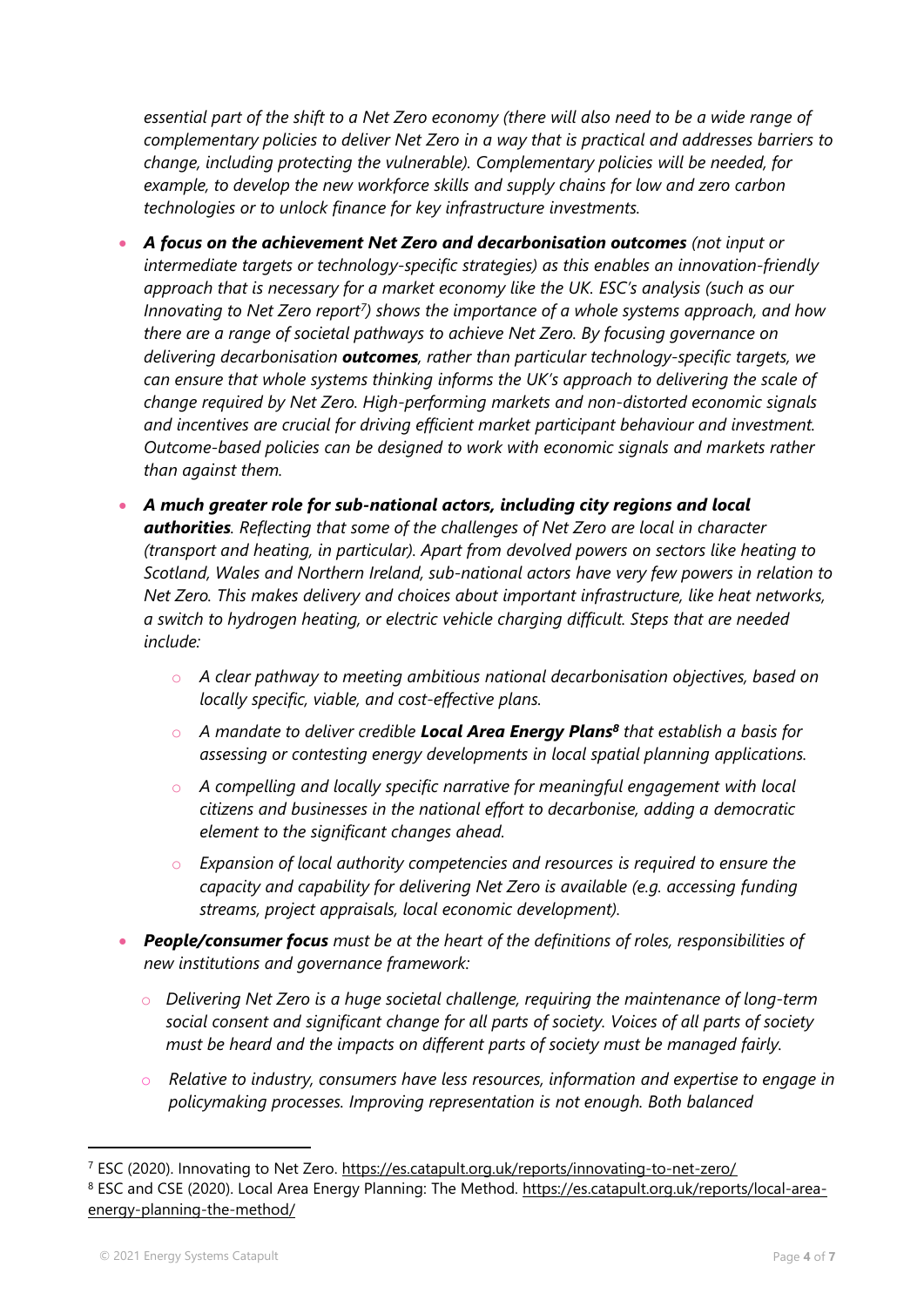essential part of the shift to a Net Zero economy (there will also need to be a wide range of *complementary policies to deliver Net Zero in a way that is practical and addresses barriers to change, including protecting the vulnerable). Complementary policies will be needed, for example, to develop the new workforce skills and supply chains for low and zero carbon technologies or to unlock finance for key infrastructure investments.*

- *A focus on the achievement Net Zero and decarbonisation outcomes (not input or intermediate targets or technology-specific strategies) as this enables an innovation-friendly approach that is necessary for a market economy like the UK. ESC's analysis (such as our Innovating to Net Zero report<sup>7</sup> ) shows the importance of a whole systems approach, and how there are a range of societal pathways to achieve Net Zero. By focusing governance on delivering decarbonisation outcomes, rather than particular technology-specific targets, we can ensure that whole systems thinking informs the UK's approach to delivering the scale of change required by Net Zero. High-performing markets and non-distorted economic signals and incentives are crucial for driving efficient market participant behaviour and investment. Outcome-based policies can be designed to work with economic signals and markets rather than against them.*
- *A much greater role for sub-national actors, including city regions and local authorities. Reflecting that some of the challenges of Net Zero are local in character (transport and heating, in particular). Apart from devolved powers on sectors like heating to Scotland, Wales and Northern Ireland, sub-national actors have very few powers in relation to Net Zero. This makes delivery and choices about important infrastructure, like heat networks, a switch to hydrogen heating, or electric vehicle charging difficult. Steps that are needed include:*
	- o *A clear pathway to meeting ambitious national decarbonisation objectives, based on locally specific, viable, and cost-effective plans.*
	- o *A mandate to deliver credible Local Area Energy Plans<sup>8</sup> that establish a basis for assessing or contesting energy developments in local spatial planning applications.*
	- o *A compelling and locally specific narrative for meaningful engagement with local citizens and businesses in the national effort to decarbonise, adding a democratic element to the significant changes ahead.*
	- o *Expansion of local authority competencies and resources is required to ensure the capacity and capability for delivering Net Zero is available (e.g. accessing funding streams, project appraisals, local economic development).*
- *People/consumer focus must be at the heart of the definitions of roles, responsibilities of new institutions and governance framework:*
	- o *Delivering Net Zero is a huge societal challenge, requiring the maintenance of long-term social consent and significant change for all parts of society. Voices of all parts of society must be heard and the impacts on different parts of society must be managed fairly.*
	- o *Relative to industry, consumers have less resources, information and expertise to engage in policymaking processes. Improving representation is not enough. Both balanced*

<sup>7</sup> ESC (2020). Innovating to Net Zero. <https://es.catapult.org.uk/reports/innovating-to-net-zero/>

<sup>8</sup> ESC and CSE (2020). Local Area Energy Planning: The Method. [https://es.catapult.org.uk/reports/local-area](https://es.catapult.org.uk/reports/local-area-energy-planning-the-method/)[energy-planning-the-method/](https://es.catapult.org.uk/reports/local-area-energy-planning-the-method/)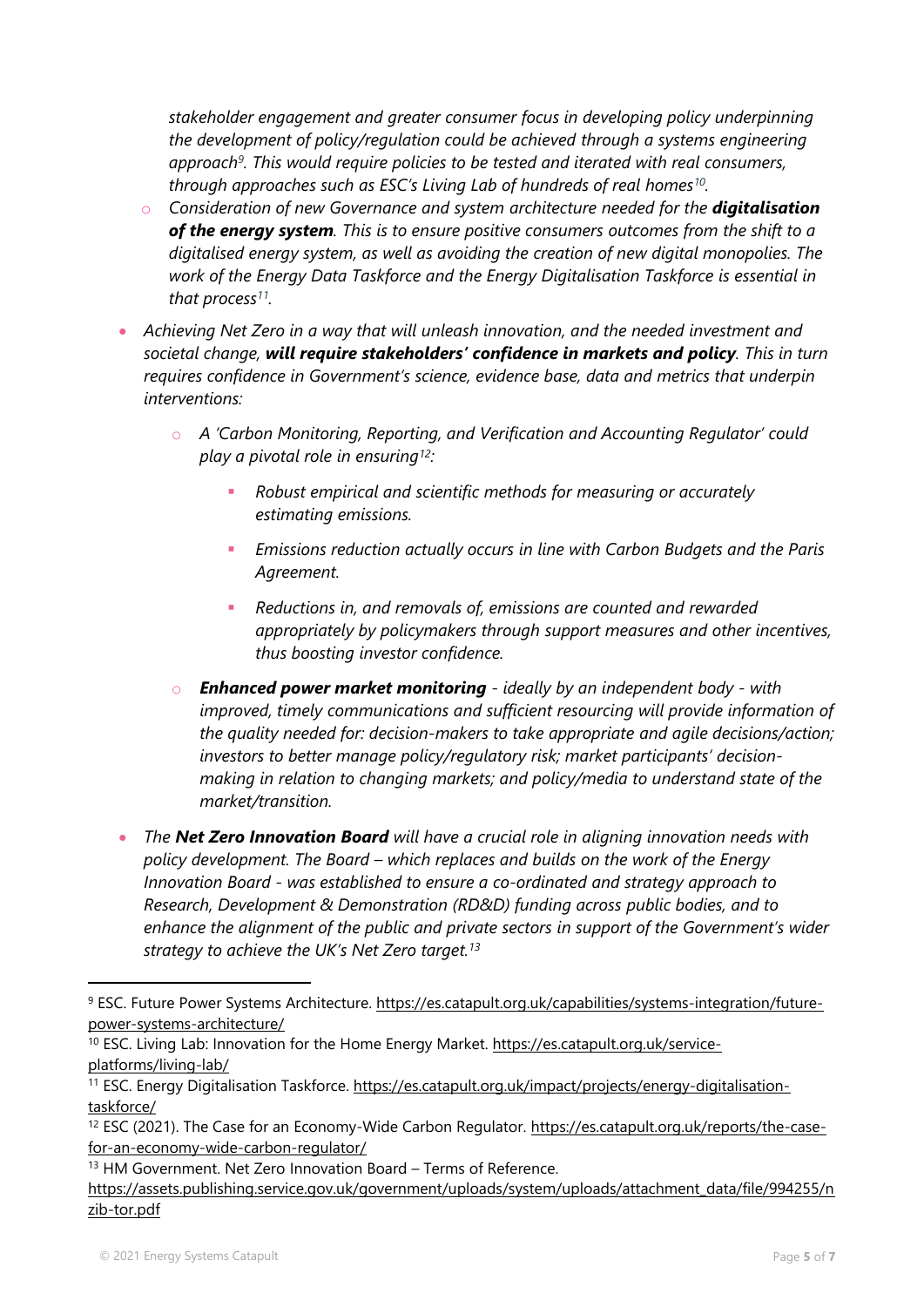*stakeholder engagement and greater consumer focus in developing policy underpinning the development of policy/regulation could be achieved through a systems engineering approach<sup>9</sup> . This would require policies to be tested and iterated with real consumers, through approaches such as ESC's Living Lab of hundreds of real homes<sup>10</sup> .*

- o *Consideration of new Governance and system architecture needed for the digitalisation of the energy system. This is to ensure positive consumers outcomes from the shift to a digitalised energy system, as well as avoiding the creation of new digital monopolies. The work of the Energy Data Taskforce and the Energy Digitalisation Taskforce is essential in that process<sup>11</sup> .*
- *Achieving Net Zero in a way that will unleash innovation, and the needed investment and societal change, will require stakeholders' confidence in markets and policy. This in turn requires confidence in Government's science, evidence base, data and metrics that underpin interventions:*
	- o *A 'Carbon Monitoring, Reporting, and Verification and Accounting Regulator' could play a pivotal role in ensuring<sup>12</sup>:*
		- *Robust empirical and scientific methods for measuring or accurately estimating emissions.*
		- *Emissions reduction actually occurs in line with Carbon Budgets and the Paris Agreement.*
		- *Reductions in, and removals of, emissions are counted and rewarded appropriately by policymakers through support measures and other incentives, thus boosting investor confidence.*
	- o *Enhanced power market monitoring - ideally by an independent body - with improved, timely communications and sufficient resourcing will provide information of the quality needed for: decision-makers to take appropriate and agile decisions/action; investors to better manage policy/regulatory risk; market participants' decisionmaking in relation to changing markets; and policy/media to understand state of the market/transition.*
- *The Net Zero Innovation Board will have a crucial role in aligning innovation needs with policy development. The Board – which replaces and builds on the work of the Energy Innovation Board - was established to ensure a co-ordinated and strategy approach to Research, Development & Demonstration (RD&D) funding across public bodies, and to enhance the alignment of the public and private sectors in support of the Government's wider strategy to achieve the UK's Net Zero target.<sup>13</sup>*

<sup>9</sup> ESC. Future Power Systems Architecture. [https://es.catapult.org.uk/capabilities/systems-integration/future](https://es.catapult.org.uk/capabilities/systems-integration/future-power-systems-architecture/)[power-systems-architecture/](https://es.catapult.org.uk/capabilities/systems-integration/future-power-systems-architecture/)

<sup>10</sup> ESC. Living Lab: Innovation for the Home Energy Market. [https://es.catapult.org.uk/service](https://es.catapult.org.uk/service-platforms/living-lab/)[platforms/living-lab/](https://es.catapult.org.uk/service-platforms/living-lab/)

<sup>11</sup> ESC. Energy Digitalisation Taskforce. [https://es.catapult.org.uk/impact/projects/energy-digitalisation](https://es.catapult.org.uk/impact/projects/energy-digitalisation-taskforce/)[taskforce/](https://es.catapult.org.uk/impact/projects/energy-digitalisation-taskforce/)

<sup>12</sup> ESC (2021). The Case for an Economy-Wide Carbon Regulator. [https://es.catapult.org.uk/reports/the-case](https://es.catapult.org.uk/reports/the-case-for-an-economy-wide-carbon-regulator/)[for-an-economy-wide-carbon-regulator/](https://es.catapult.org.uk/reports/the-case-for-an-economy-wide-carbon-regulator/)

<sup>13</sup> HM Government. Net Zero Innovation Board – Terms of Reference.

[https://assets.publishing.service.gov.uk/government/uploads/system/uploads/attachment\\_data/file/994255/n](https://assets.publishing.service.gov.uk/government/uploads/system/uploads/attachment_data/file/994255/nzib-tor.pdf) [zib-tor.pdf](https://assets.publishing.service.gov.uk/government/uploads/system/uploads/attachment_data/file/994255/nzib-tor.pdf)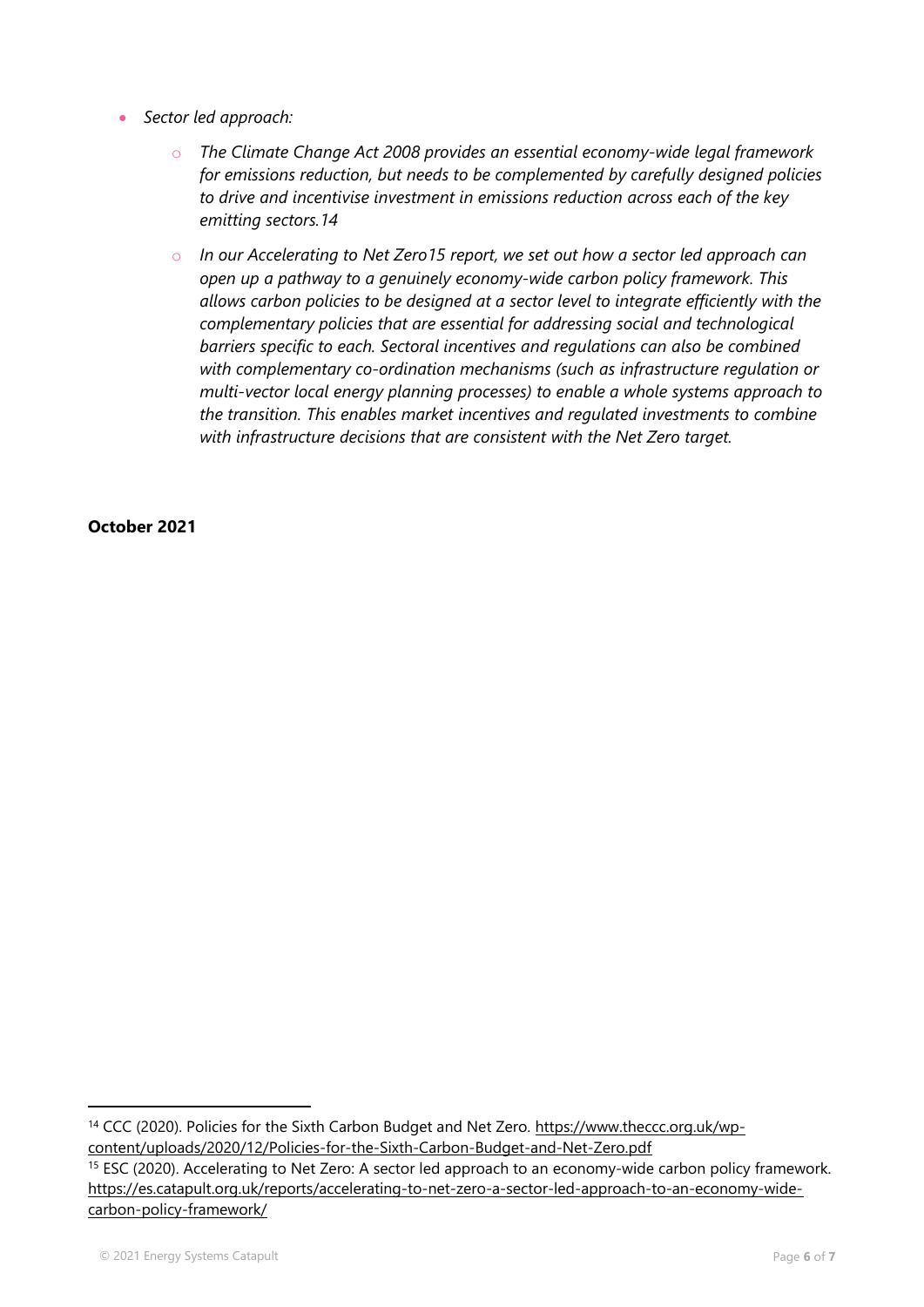- *Sector led approach:*
	- o *The Climate Change Act 2008 provides an essential economy-wide legal framework for emissions reduction, but needs to be complemented by carefully designed policies to drive and incentivise investment in emissions reduction across each of the key emitting sectors.14*
	- o *In our Accelerating to Net Zero15 report, we set out how a sector led approach can open up a pathway to a genuinely economy-wide carbon policy framework. This allows carbon policies to be designed at a sector level to integrate efficiently with the complementary policies that are essential for addressing social and technological barriers specific to each. Sectoral incentives and regulations can also be combined with complementary co-ordination mechanisms (such as infrastructure regulation or multi-vector local energy planning processes) to enable a whole systems approach to the transition. This enables market incentives and regulated investments to combine with infrastructure decisions that are consistent with the Net Zero target.*

#### **October 2021**

<sup>14</sup> CCC (2020). Policies for the Sixth Carbon Budget and Net Zero. [https://www.theccc.org.uk/wp](https://www.theccc.org.uk/wp-content/uploads/2020/12/Policies-for-the-Sixth-Carbon-Budget-and-Net-Zero.pdf)[content/uploads/2020/12/Policies-for-the-Sixth-Carbon-Budget-and-Net-Zero.pdf](https://www.theccc.org.uk/wp-content/uploads/2020/12/Policies-for-the-Sixth-Carbon-Budget-and-Net-Zero.pdf)

<sup>&</sup>lt;sup>15</sup> ESC (2020). Accelerating to Net Zero: A sector led approach to an economy-wide carbon policy framework. [https://es.catapult.org.uk/reports/accelerating-to-net-zero-a-sector-led-approach-to-an-economy-wide](https://es.catapult.org.uk/reports/accelerating-to-net-zero-a-sector-led-approach-to-an-economy-wide-carbon-policy-framework/)[carbon-policy-framework/](https://es.catapult.org.uk/reports/accelerating-to-net-zero-a-sector-led-approach-to-an-economy-wide-carbon-policy-framework/)